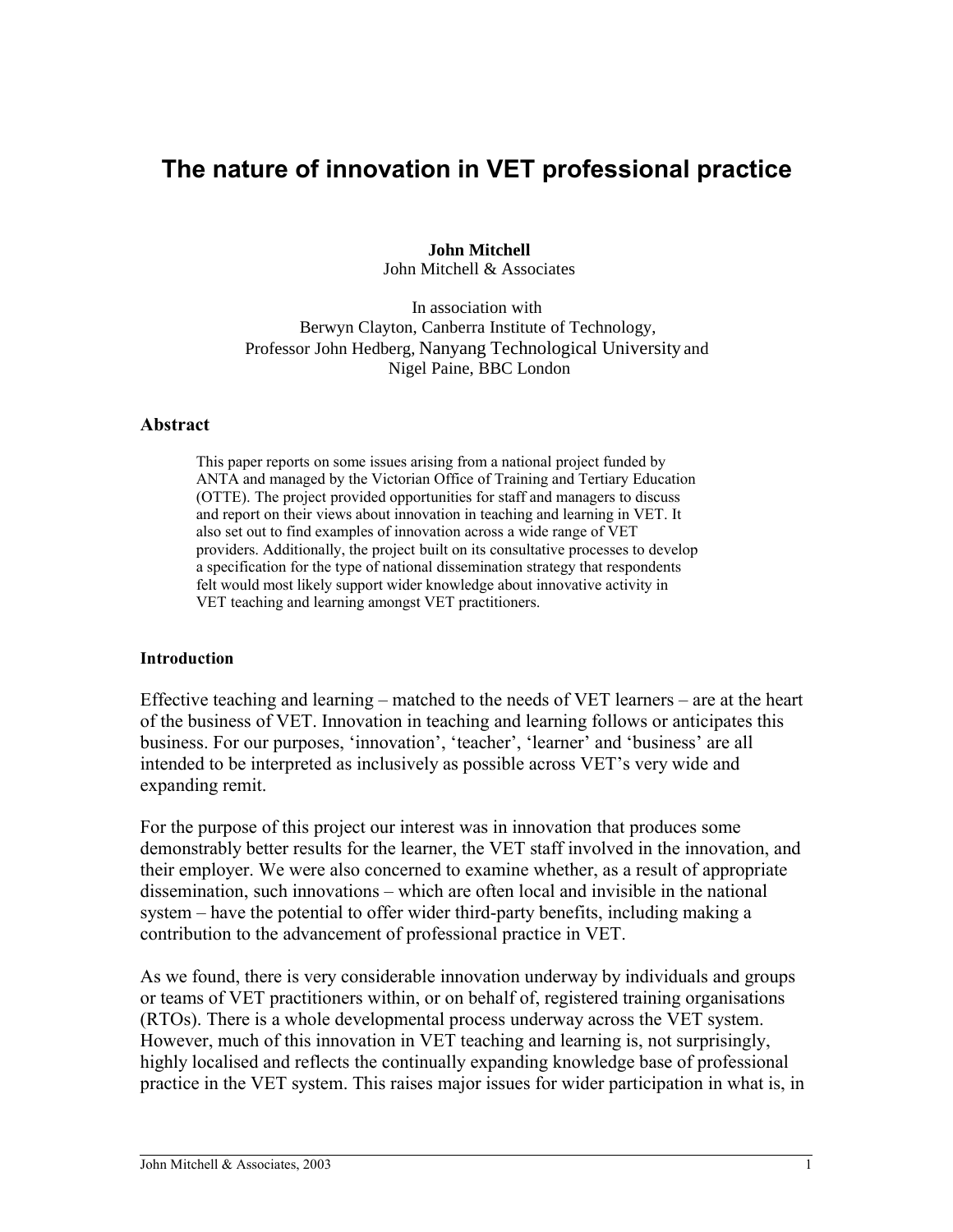# **The nature of innovation in VET professional practice**

**John Mitchell** John Mitchell & Associates

In association with Berwyn Clayton, Canberra Institute of Technology, Professor John Hedberg, Nanyang Technological University and Nigel Paine, BBC London

#### **Abstract**

This paper reports on some issues arising from a national project funded by ANTA and managed by the Victorian Office of Training and Tertiary Education (OTTE). The project provided opportunities for staff and managers to discuss and report on their views about innovation in teaching and learning in VET. It also set out to find examples of innovation across a wide range of VET providers. Additionally, the project built on its consultative processes to develop a specification for the type of national dissemination strategy that respondents felt would most likely support wider knowledge about innovative activity in VET teaching and learning amongst VET practitioners.

### **Introduction**

Effective teaching and learning – matched to the needs of VET learners – are at the heart of the business of VET. Innovation in teaching and learning follows or anticipates this business. For our purposes, 'innovation', 'teacher', 'learner' and 'business' are all intended to be interpreted as inclusively as possible across VET's very wide and expanding remit.

For the purpose of this project our interest was in innovation that produces some demonstrably better results for the learner, the VET staff involved in the innovation, and their employer. We were also concerned to examine whether, as a result of appropriate dissemination, such innovations – which are often local and invisible in the national system – have the potential to offer wider third-party benefits, including making a contribution to the advancement of professional practice in VET.

As we found, there is very considerable innovation underway by individuals and groups or teams of VET practitioners within, or on behalf of, registered training organisations (RTOs). There is a whole developmental process underway across the VET system. However, much of this innovation in VET teaching and learning is, not surprisingly, highly localised and reflects the continually expanding knowledge base of professional practice in the VET system. This raises major issues for wider participation in what is, in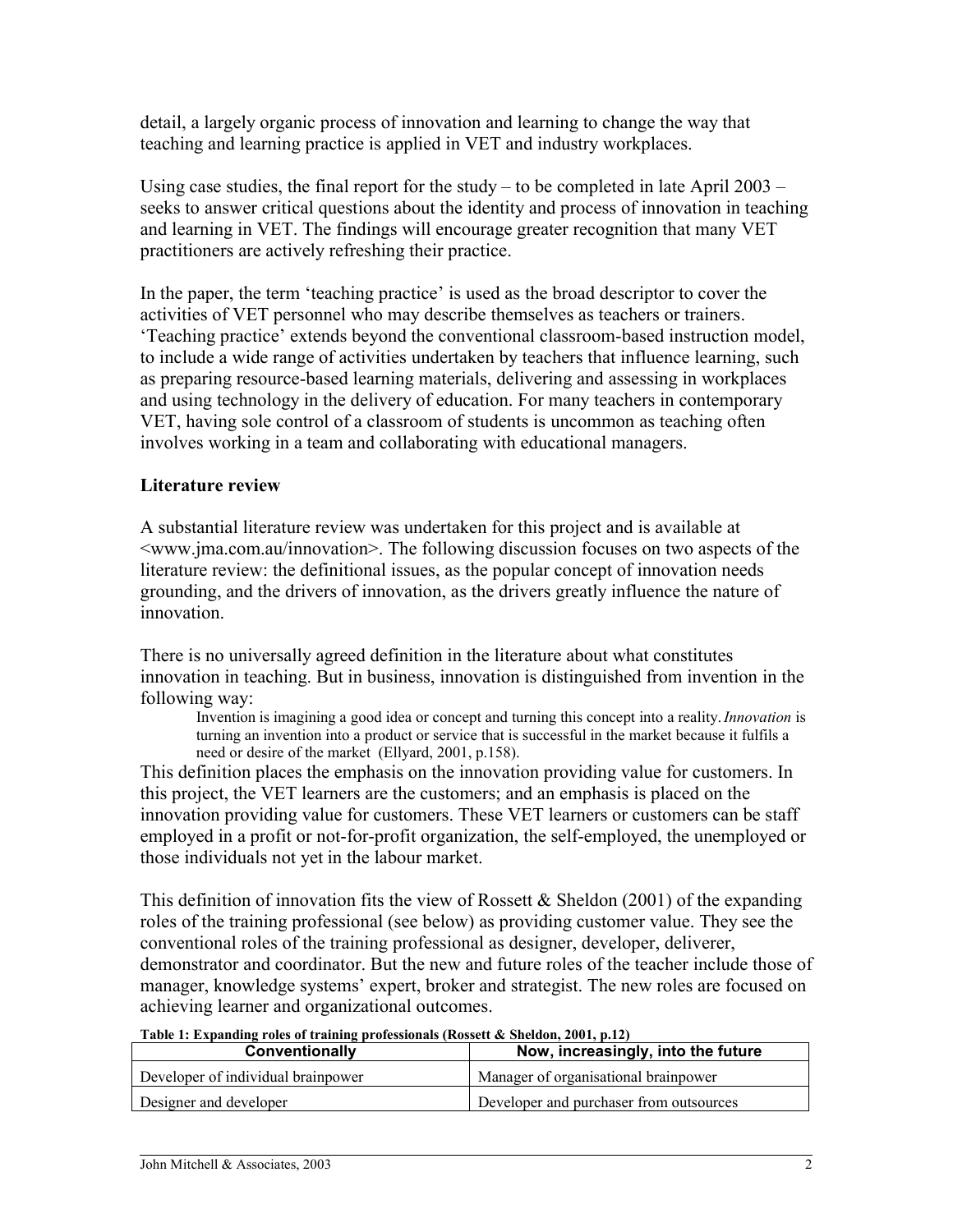detail, a largely organic process of innovation and learning to change the way that teaching and learning practice is applied in VET and industry workplaces.

Using case studies, the final report for the study – to be completed in late April  $2003$ seeks to answer critical questions about the identity and process of innovation in teaching and learning in VET. The findings will encourage greater recognition that many VET practitioners are actively refreshing their practice.

In the paper, the term 'teaching practice' is used as the broad descriptor to cover the activities of VET personnel who may describe themselves as teachers or trainers. 'Teaching practice' extends beyond the conventional classroom-based instruction model, to include a wide range of activities undertaken by teachers that influence learning, such as preparing resource-based learning materials, delivering and assessing in workplaces and using technology in the delivery of education. For many teachers in contemporary VET, having sole control of a classroom of students is uncommon as teaching often involves working in a team and collaborating with educational managers.

## **Literature review**

A substantial literature review was undertaken for this project and is available at <www.jma.com.au/innovation>. The following discussion focuses on two aspects of the literature review: the definitional issues, as the popular concept of innovation needs grounding, and the drivers of innovation, as the drivers greatly influence the nature of innovation.

There is no universally agreed definition in the literature about what constitutes innovation in teaching. But in business, innovation is distinguished from invention in the following way:

Invention is imagining a good idea or concept and turning this concept into a reality.*Innovation* is turning an invention into a product or service that is successful in the market because it fulfils a need or desire of the market (Ellyard, 2001, p.158).

This definition places the emphasis on the innovation providing value for customers. In this project, the VET learners are the customers; and an emphasis is placed on the innovation providing value for customers. These VET learners or customers can be staff employed in a profit or not-for-profit organization, the self-employed, the unemployed or those individuals not yet in the labour market.

This definition of innovation fits the view of Rossett & Sheldon (2001) of the expanding roles of the training professional (see below) as providing customer value. They see the conventional roles of the training professional as designer, developer, deliverer, demonstrator and coordinator. But the new and future roles of the teacher include those of manager, knowledge systems' expert, broker and strategist. The new roles are focused on achieving learner and organizational outcomes.

| Conventionally                     | Now, increasingly, into the future      |
|------------------------------------|-----------------------------------------|
| Developer of individual brainpower | Manager of organisational brainpower    |
| Designer and developer             | Developer and purchaser from outsources |

#### **Table 1: Expanding roles of training professionals (Rossett & Sheldon, 2001, p.12)**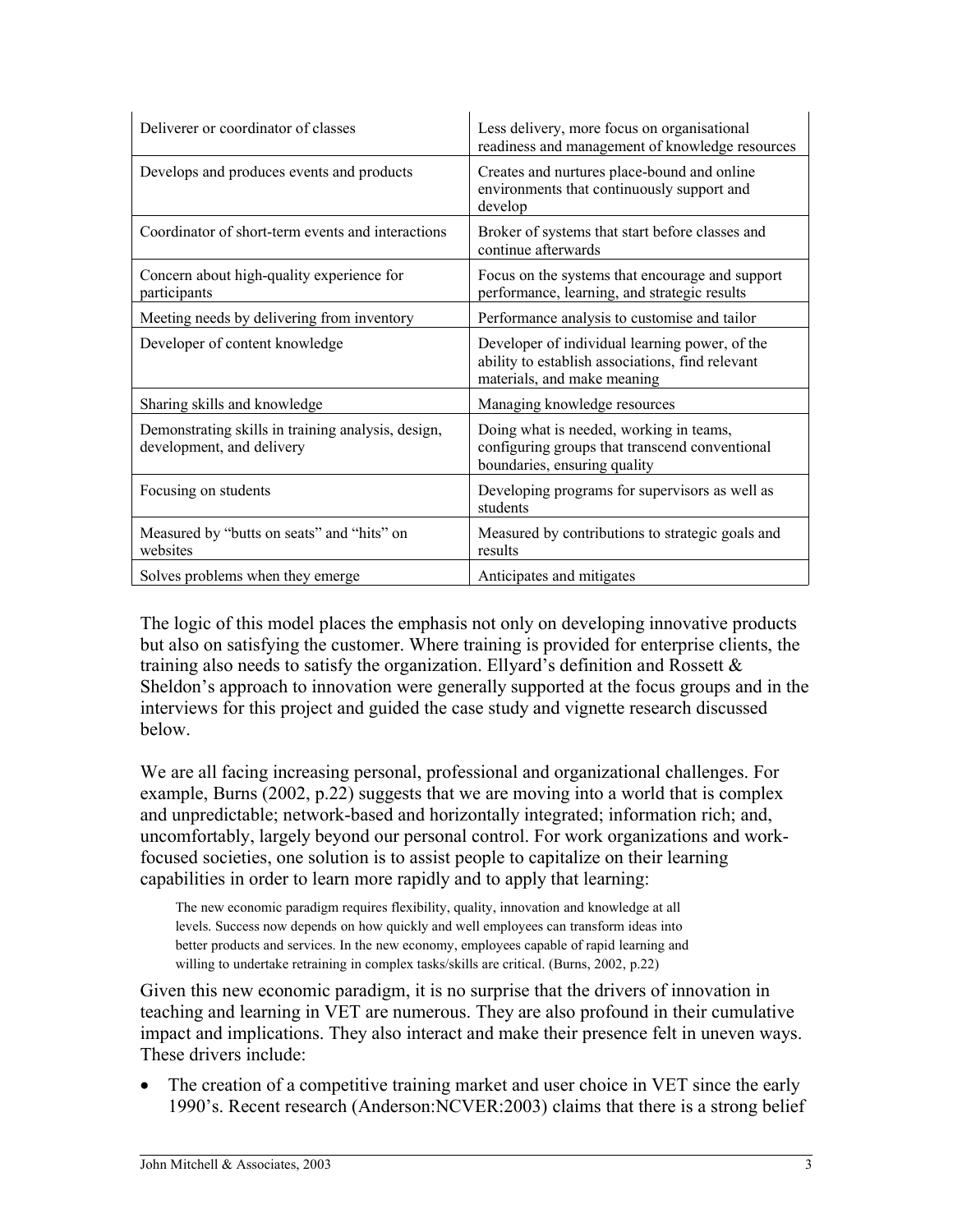| Deliverer or coordinator of classes                                             | Less delivery, more focus on organisational<br>readiness and management of knowledge resources                                    |
|---------------------------------------------------------------------------------|-----------------------------------------------------------------------------------------------------------------------------------|
| Develops and produces events and products                                       | Creates and nurtures place-bound and online<br>environments that continuously support and<br>develop                              |
| Coordinator of short-term events and interactions                               | Broker of systems that start before classes and<br>continue afterwards                                                            |
| Concern about high-quality experience for<br>participants                       | Focus on the systems that encourage and support<br>performance, learning, and strategic results                                   |
| Meeting needs by delivering from inventory                                      | Performance analysis to customise and tailor                                                                                      |
| Developer of content knowledge                                                  | Developer of individual learning power, of the<br>ability to establish associations, find relevant<br>materials, and make meaning |
| Sharing skills and knowledge                                                    | Managing knowledge resources                                                                                                      |
| Demonstrating skills in training analysis, design,<br>development, and delivery | Doing what is needed, working in teams,<br>configuring groups that transcend conventional<br>boundaries, ensuring quality         |
| Focusing on students                                                            | Developing programs for supervisors as well as<br>students                                                                        |
| Measured by "butts on seats" and "hits" on<br>websites                          | Measured by contributions to strategic goals and<br>results                                                                       |
| Solves problems when they emerge                                                | Anticipates and mitigates                                                                                                         |

The logic of this model places the emphasis not only on developing innovative products but also on satisfying the customer. Where training is provided for enterprise clients, the training also needs to satisfy the organization. Ellyard's definition and Rossett  $\&$ Sheldon's approach to innovation were generally supported at the focus groups and in the interviews for this project and guided the case study and vignette research discussed below.

We are all facing increasing personal, professional and organizational challenges. For example, Burns (2002, p.22) suggests that we are moving into a world that is complex and unpredictable; network-based and horizontally integrated; information rich; and, uncomfortably, largely beyond our personal control. For work organizations and workfocused societies, one solution is to assist people to capitalize on their learning capabilities in order to learn more rapidly and to apply that learning:

The new economic paradigm requires flexibility, quality, innovation and knowledge at all levels. Success now depends on how quickly and well employees can transform ideas into better products and services. In the new economy, employees capable of rapid learning and willing to undertake retraining in complex tasks/skills are critical. (Burns, 2002, p.22)

Given this new economic paradigm, it is no surprise that the drivers of innovation in teaching and learning in VET are numerous. They are also profound in their cumulative impact and implications. They also interact and make their presence felt in uneven ways. These drivers include:

 The creation of a competitive training market and user choice in VET since the early 1990's. Recent research (Anderson:NCVER:2003) claims that there is a strong belief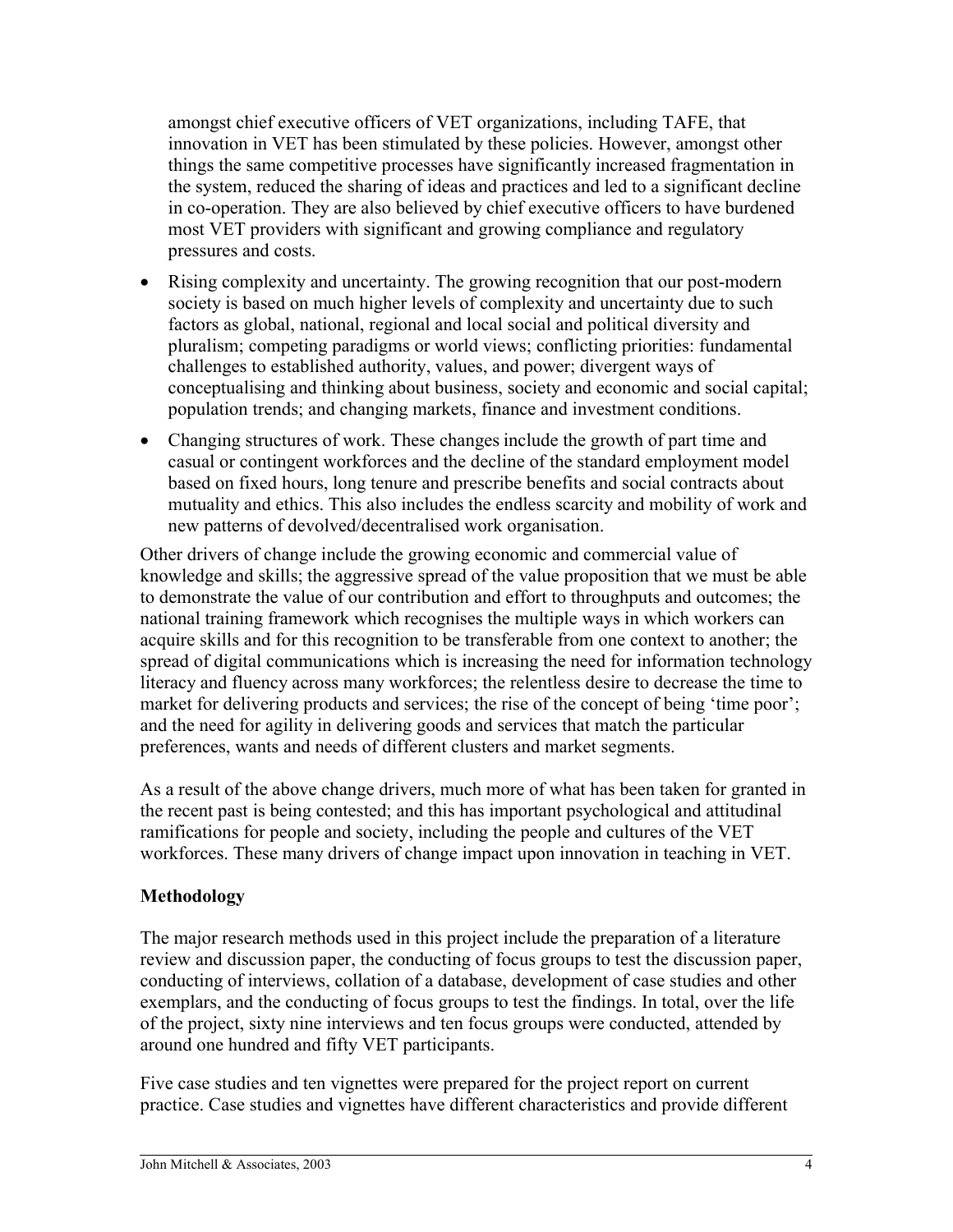amongst chief executive officers of VET organizations, including TAFE, that innovation in VET has been stimulated by these policies. However, amongst other things the same competitive processes have significantly increased fragmentation in the system, reduced the sharing of ideas and practices and led to a significant decline in co-operation. They are also believed by chief executive officers to have burdened most VET providers with significant and growing compliance and regulatory pressures and costs.

- Rising complexity and uncertainty. The growing recognition that our post-modern society is based on much higher levels of complexity and uncertainty due to such factors as global, national, regional and local social and political diversity and pluralism; competing paradigms or world views; conflicting priorities: fundamental challenges to established authority, values, and power; divergent ways of conceptualising and thinking about business, society and economic and social capital; population trends; and changing markets, finance and investment conditions.
- Changing structures of work. These changes include the growth of part time and casual or contingent workforces and the decline of the standard employment model based on fixed hours, long tenure and prescribe benefits and social contracts about mutuality and ethics. This also includes the endless scarcity and mobility of work and new patterns of devolved/decentralised work organisation.

Other drivers of change include the growing economic and commercial value of knowledge and skills; the aggressive spread of the value proposition that we must be able to demonstrate the value of our contribution and effort to throughputs and outcomes; the national training framework which recognises the multiple ways in which workers can acquire skills and for this recognition to be transferable from one context to another; the spread of digital communications which is increasing the need for information technology literacy and fluency across many workforces; the relentless desire to decrease the time to market for delivering products and services; the rise of the concept of being 'time poor'; and the need for agility in delivering goods and services that match the particular preferences, wants and needs of different clusters and market segments.

As a result of the above change drivers, much more of what has been taken for granted in the recent past is being contested; and this has important psychological and attitudinal ramifications for people and society, including the people and cultures of the VET workforces. These many drivers of change impact upon innovation in teaching in VET.

# **Methodology**

The major research methods used in this project include the preparation of a literature review and discussion paper, the conducting of focus groups to test the discussion paper, conducting of interviews, collation of a database, development of case studies and other exemplars, and the conducting of focus groups to test the findings. In total, over the life of the project, sixty nine interviews and ten focus groups were conducted, attended by around one hundred and fifty VET participants.

Five case studies and ten vignettes were prepared for the project report on current practice. Case studies and vignettes have different characteristics and provide different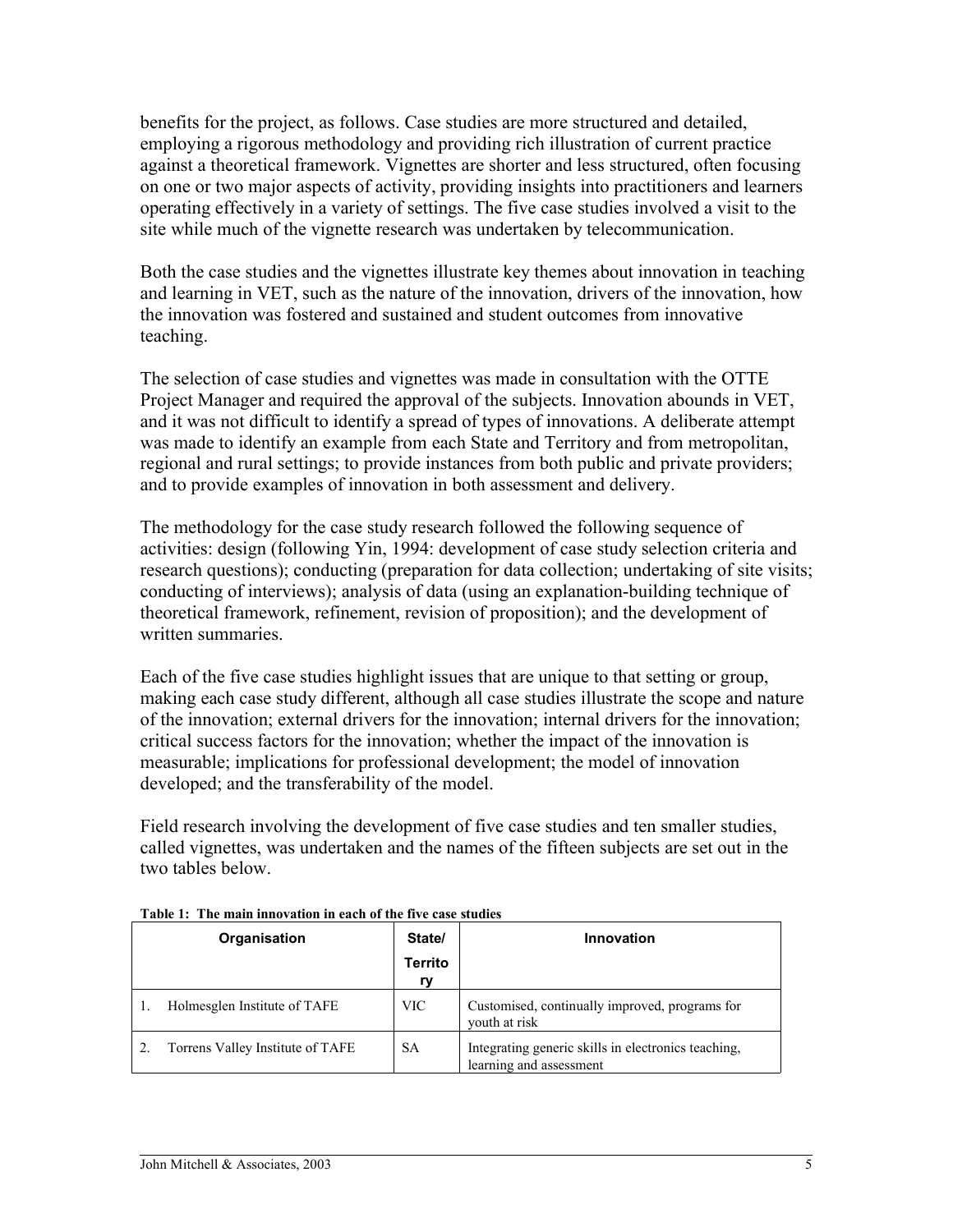benefits for the project, as follows. Case studies are more structured and detailed, employing a rigorous methodology and providing rich illustration of current practice against a theoretical framework. Vignettes are shorter and less structured, often focusing on one or two major aspects of activity, providing insights into practitioners and learners operating effectively in a variety of settings. The five case studies involved a visit to the site while much of the vignette research was undertaken by telecommunication.

Both the case studies and the vignettes illustrate key themes about innovation in teaching and learning in VET, such as the nature of the innovation, drivers of the innovation, how the innovation was fostered and sustained and student outcomes from innovative teaching.

The selection of case studies and vignettes was made in consultation with the OTTE Project Manager and required the approval of the subjects. Innovation abounds in VET, and it was not difficult to identify a spread of types of innovations. A deliberate attempt was made to identify an example from each State and Territory and from metropolitan, regional and rural settings; to provide instances from both public and private providers; and to provide examples of innovation in both assessment and delivery.

The methodology for the case study research followed the following sequence of activities: design (following Yin, 1994: development of case study selection criteria and research questions); conducting (preparation for data collection; undertaking of site visits; conducting of interviews); analysis of data (using an explanation-building technique of theoretical framework, refinement, revision of proposition); and the development of written summaries.

Each of the five case studies highlight issues that are unique to that setting or group, making each case study different, although all case studies illustrate the scope and nature of the innovation; external drivers for the innovation; internal drivers for the innovation; critical success factors for the innovation; whether the impact of the innovation is measurable; implications for professional development; the model of innovation developed; and the transferability of the model.

Field research involving the development of five case studies and ten smaller studies, called vignettes, was undertaken and the names of the fifteen subjects are set out in the two tables below.

| Organisation                     | State/               | Innovation                                                                     |
|----------------------------------|----------------------|--------------------------------------------------------------------------------|
|                                  | <b>Territo</b><br>rv |                                                                                |
| Holmesglen Institute of TAFE     | <b>VIC</b>           | Customised, continually improved, programs for<br>youth at risk                |
| Torrens Valley Institute of TAFE | <b>SA</b>            | Integrating generic skills in electronics teaching,<br>learning and assessment |

|  | Table 1: The main innovation in each of the five case studies |  |  |
|--|---------------------------------------------------------------|--|--|
|  |                                                               |  |  |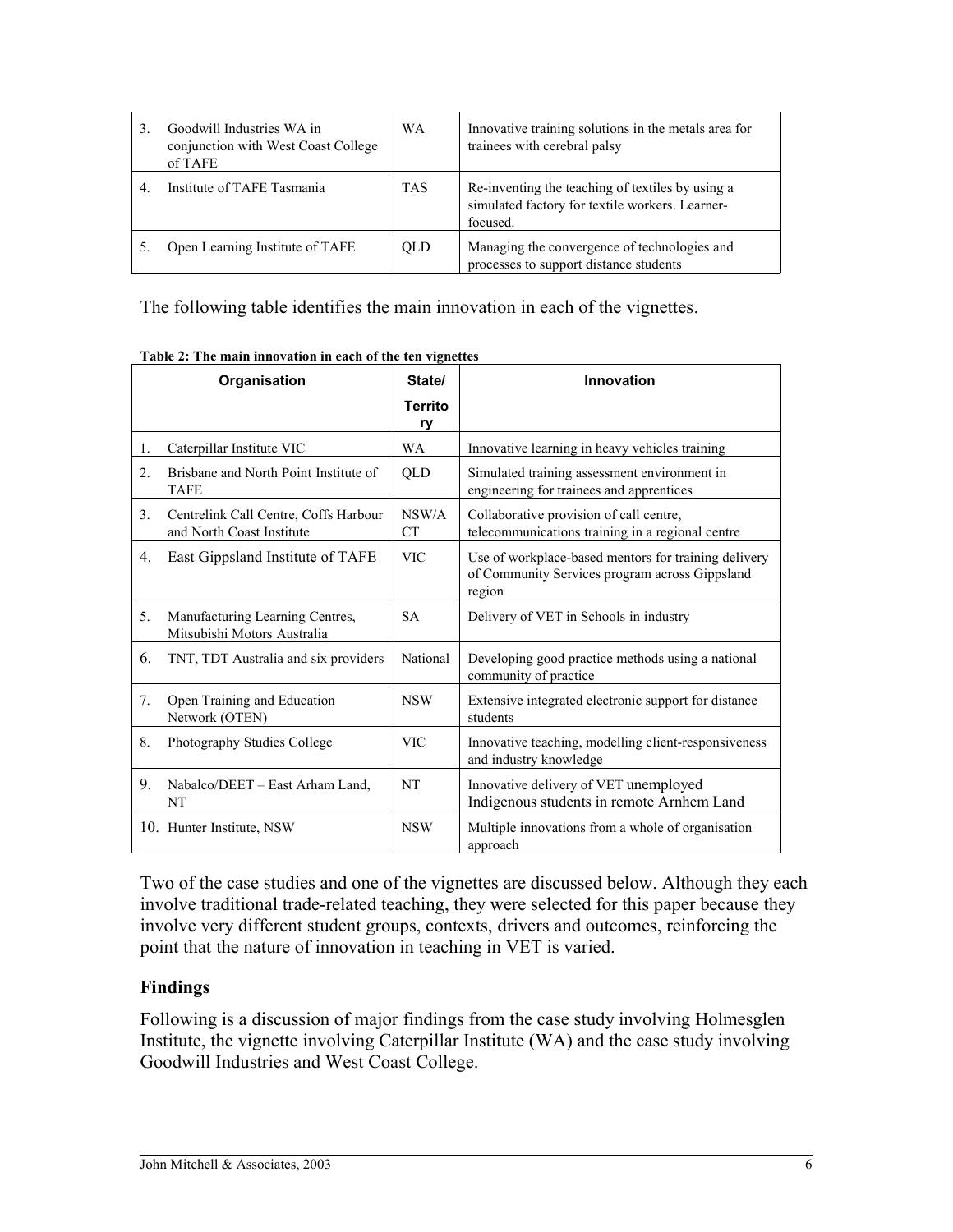|                | Goodwill Industries WA in<br>conjunction with West Coast College<br>of TAFE | <b>WA</b>  | Innovative training solutions in the metals area for<br>trainees with cerebral palsy                            |
|----------------|-----------------------------------------------------------------------------|------------|-----------------------------------------------------------------------------------------------------------------|
| $\overline{4}$ | Institute of TAFE Tasmania                                                  | <b>TAS</b> | Re-inventing the teaching of textiles by using a<br>simulated factory for textile workers. Learner-<br>focused. |
|                | Open Learning Institute of TAFE                                             | <b>OLD</b> | Managing the convergence of technologies and<br>processes to support distance students                          |

The following table identifies the main innovation in each of the vignettes.

|                | Organisation                                                       | State/               | Innovation                                                                                                       |
|----------------|--------------------------------------------------------------------|----------------------|------------------------------------------------------------------------------------------------------------------|
|                |                                                                    | <b>Territo</b><br>ry |                                                                                                                  |
| 1.             | Caterpillar Institute VIC                                          | WA                   | Innovative learning in heavy vehicles training                                                                   |
| 2 <sub>1</sub> | Brisbane and North Point Institute of<br><b>TAFE</b>               | QLD                  | Simulated training assessment environment in<br>engineering for trainees and apprentices                         |
| 3 <sub>1</sub> | Centrelink Call Centre, Coffs Harbour<br>and North Coast Institute | NSW/A<br><b>CT</b>   | Collaborative provision of call centre,<br>telecommunications training in a regional centre                      |
| 4.             | East Gippsland Institute of TAFE                                   | <b>VIC</b>           | Use of workplace-based mentors for training delivery<br>of Community Services program across Gippsland<br>region |
| 5.             | Manufacturing Learning Centres,<br>Mitsubishi Motors Australia     | <b>SA</b>            | Delivery of VET in Schools in industry                                                                           |
| 6.             | TNT, TDT Australia and six providers                               | National             | Developing good practice methods using a national<br>community of practice                                       |
| 7.             | Open Training and Education<br>Network (OTEN)                      | <b>NSW</b>           | Extensive integrated electronic support for distance<br>students                                                 |
| 8.             | <b>Photography Studies College</b>                                 | <b>VIC</b>           | Innovative teaching, modelling client-responsiveness<br>and industry knowledge                                   |
| 9.             | Nabalco/DEET – East Arham Land,<br>NT                              | NT                   | Innovative delivery of VET unemployed<br>Indigenous students in remote Arnhem Land                               |
|                | 10. Hunter Institute, NSW                                          | <b>NSW</b>           | Multiple innovations from a whole of organisation<br>approach                                                    |

**Table 2: The main innovation in each of the ten vignettes**

Two of the case studies and one of the vignettes are discussed below. Although they each involve traditional trade-related teaching, they were selected for this paper because they involve very different student groups, contexts, drivers and outcomes, reinforcing the point that the nature of innovation in teaching in VET is varied.

## **Findings**

Following is a discussion of major findings from the case study involving Holmesglen Institute, the vignette involving Caterpillar Institute (WA) and the case study involving Goodwill Industries and West Coast College.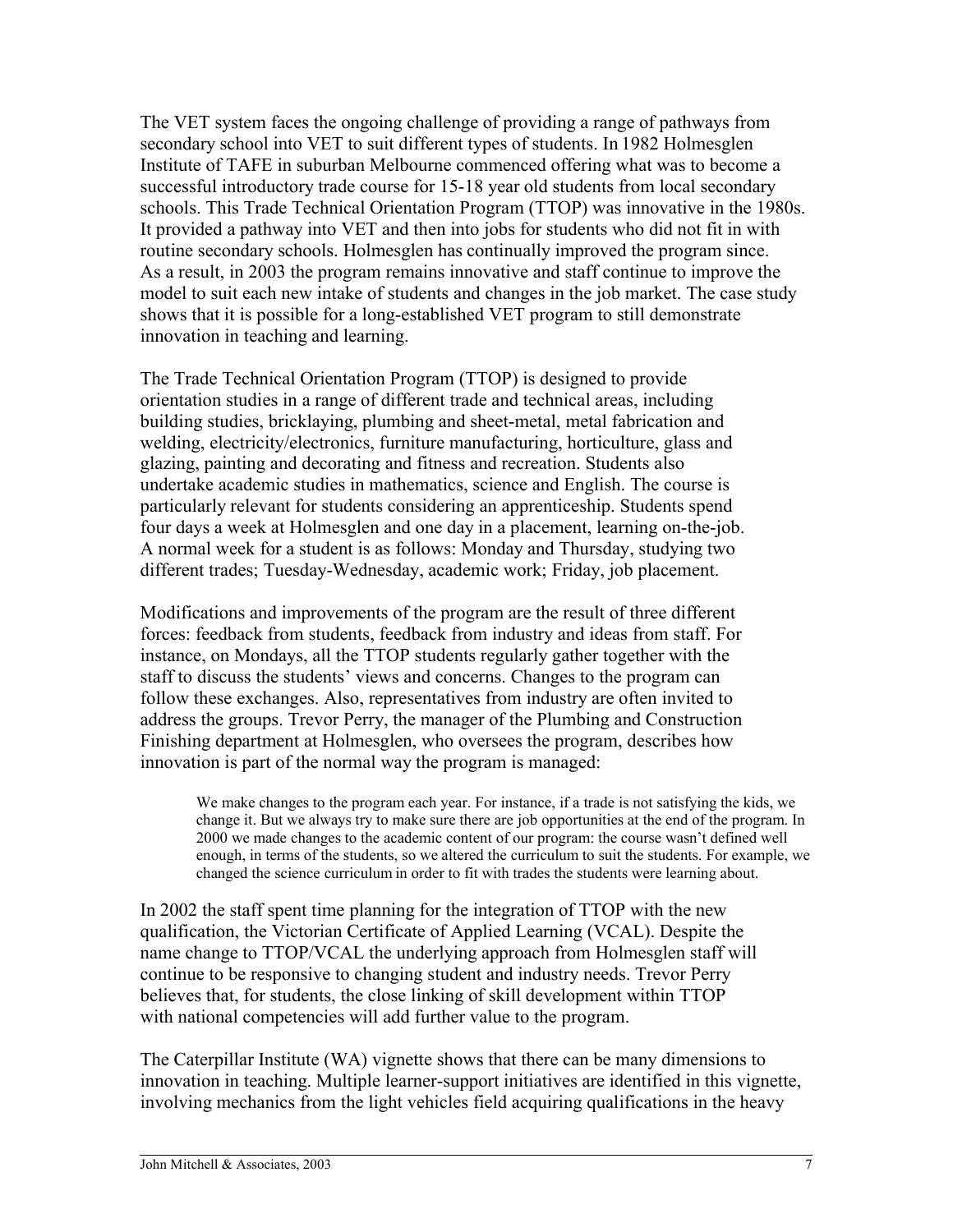The VET system faces the ongoing challenge of providing a range of pathways from secondary school into VET to suit different types of students. In 1982 Holmesglen Institute of TAFE in suburban Melbourne commenced offering what was to become a successful introductory trade course for 15-18 year old students from local secondary schools. This Trade Technical Orientation Program (TTOP) was innovative in the 1980s. It provided a pathway into VET and then into jobs for students who did not fit in with routine secondary schools. Holmesglen has continually improved the program since. As a result, in 2003 the program remains innovative and staff continue to improve the model to suit each new intake of students and changes in the job market. The case study shows that it is possible for a long-established VET program to still demonstrate innovation in teaching and learning.

The Trade Technical Orientation Program (TTOP) is designed to provide orientation studies in a range of different trade and technical areas, including building studies, bricklaying, plumbing and sheet-metal, metal fabrication and welding, electricity/electronics, furniture manufacturing, horticulture, glass and glazing, painting and decorating and fitness and recreation. Students also undertake academic studies in mathematics, science and English. The course is particularly relevant for students considering an apprenticeship. Students spend four days a week at Holmesglen and one day in a placement, learning on-the-job. A normal week for a student is as follows: Monday and Thursday, studying two different trades; Tuesday-Wednesday, academic work; Friday, job placement.

Modifications and improvements of the program are the result of three different forces: feedback from students, feedback from industry and ideas from staff. For instance, on Mondays, all the TTOP students regularly gather together with the staff to discuss the students' views and concerns. Changes to the program can follow these exchanges. Also, representatives from industry are often invited to address the groups. Trevor Perry, the manager of the Plumbing and Construction Finishing department at Holmesglen, who oversees the program, describes how innovation is part of the normal way the program is managed:

We make changes to the program each year. For instance, if a trade is not satisfying the kids, we change it. But we always try to make sure there are job opportunities at the end of the program. In 2000 we made changes to the academic content of our program: the course wasn't defined well enough, in terms of the students, so we altered the curriculum to suit the students. For example, we changed the science curriculum in order to fit with trades the students were learning about.

In 2002 the staff spent time planning for the integration of TTOP with the new qualification, the Victorian Certificate of Applied Learning (VCAL). Despite the name change to TTOP/VCAL the underlying approach from Holmesglen staff will continue to be responsive to changing student and industry needs. Trevor Perry believes that, for students, the close linking of skill development within TTOP with national competencies will add further value to the program.

The Caterpillar Institute (WA) vignette shows that there can be many dimensions to innovation in teaching. Multiple learner-support initiatives are identified in this vignette, involving mechanics from the light vehicles field acquiring qualifications in the heavy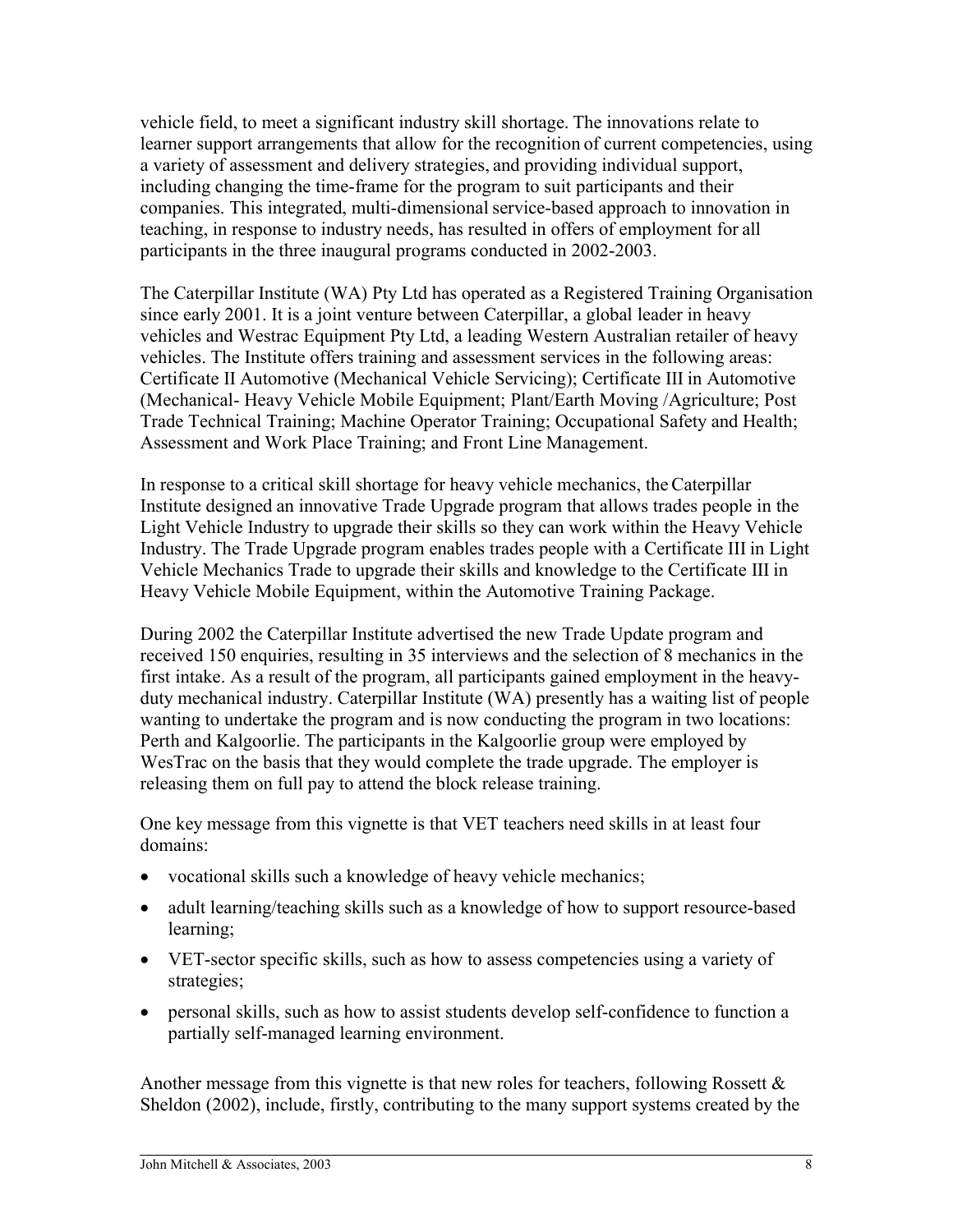vehicle field, to meet a significant industry skill shortage. The innovations relate to learner support arrangements that allow for the recognition of current competencies, using a variety of assessment and delivery strategies, and providing individual support, including changing the time-frame for the program to suit participants and their companies. This integrated, multi-dimensional service-based approach to innovation in teaching, in response to industry needs, has resulted in offers of employment for all participants in the three inaugural programs conducted in 2002-2003.

The Caterpillar Institute (WA) Pty Ltd has operated as a Registered Training Organisation since early 2001. It is a joint venture between Caterpillar, a global leader in heavy vehicles and Westrac Equipment Pty Ltd, a leading Western Australian retailer of heavy vehicles. The Institute offers training and assessment services in the following areas: Certificate II Automotive (Mechanical Vehicle Servicing); Certificate III in Automotive (Mechanical- Heavy Vehicle Mobile Equipment; Plant/Earth Moving /Agriculture; Post Trade Technical Training; Machine Operator Training; Occupational Safety and Health; Assessment and Work Place Training; and Front Line Management.

In response to a critical skill shortage for heavy vehicle mechanics, the Caterpillar Institute designed an innovative Trade Upgrade program that allows trades people in the Light Vehicle Industry to upgrade their skills so they can work within the Heavy Vehicle Industry. The Trade Upgrade program enables trades people with a Certificate III in Light Vehicle Mechanics Trade to upgrade their skills and knowledge to the Certificate III in Heavy Vehicle Mobile Equipment, within the Automotive Training Package.

During 2002 the Caterpillar Institute advertised the new Trade Update program and received 150 enquiries, resulting in 35 interviews and the selection of 8 mechanics in the first intake. As a result of the program, all participants gained employment in the heavyduty mechanical industry. Caterpillar Institute (WA) presently has a waiting list of people wanting to undertake the program and is now conducting the program in two locations: Perth and Kalgoorlie. The participants in the Kalgoorlie group were employed by WesTrac on the basis that they would complete the trade upgrade. The employer is releasing them on full pay to attend the block release training.

One key message from this vignette is that VET teachers need skills in at least four domains:

- vocational skills such a knowledge of heavy vehicle mechanics;
- adult learning/teaching skills such as a knowledge of how to support resource-based learning;
- VET-sector specific skills, such as how to assess competencies using a variety of strategies;
- personal skills, such as how to assist students develop self-confidence to function a partially self-managed learning environment.

Another message from this vignette is that new roles for teachers, following Rossett  $\&$ Sheldon (2002), include, firstly, contributing to the many support systems created by the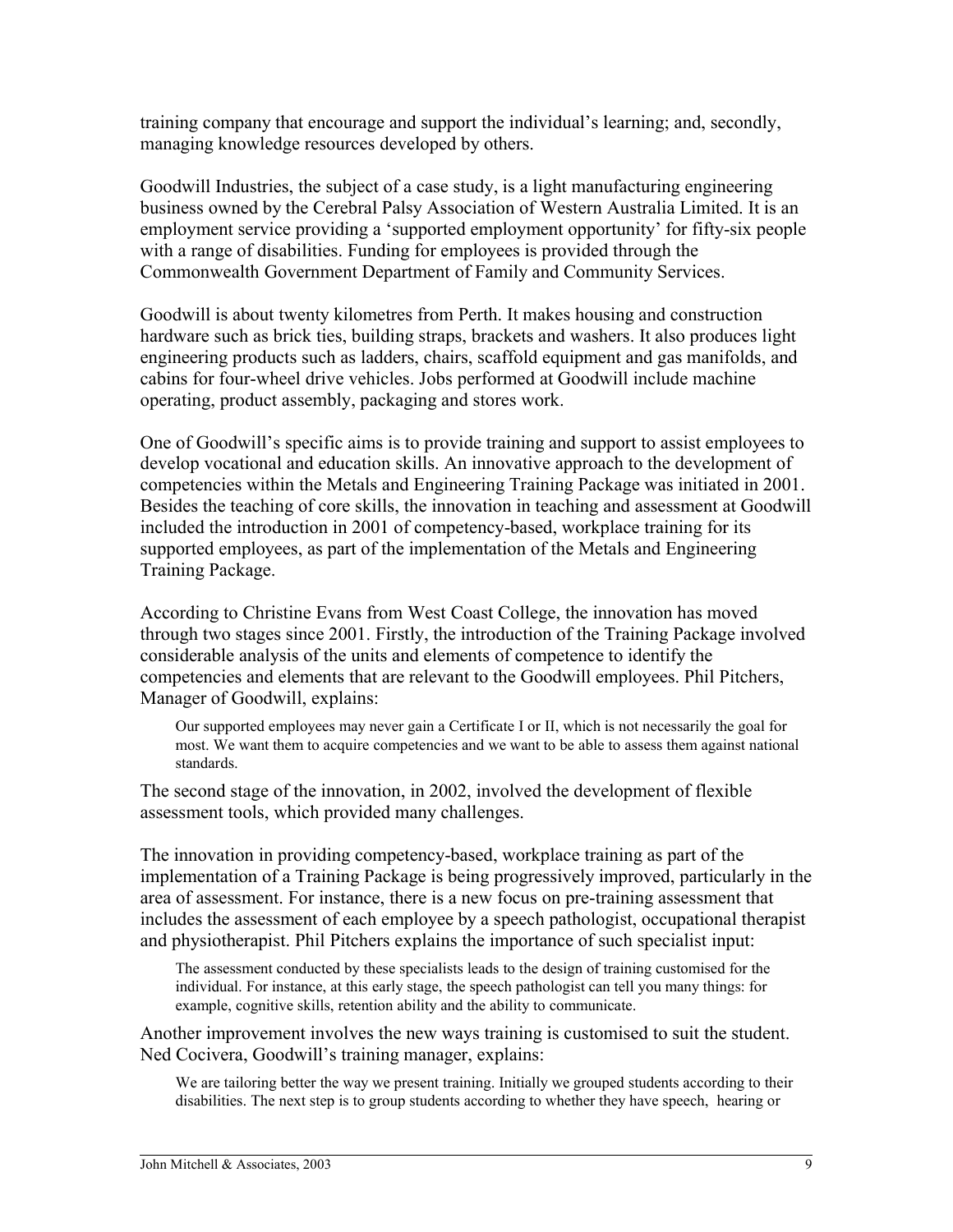training company that encourage and support the individual's learning; and, secondly, managing knowledge resources developed by others.

Goodwill Industries, the subject of a case study, is a light manufacturing engineering business owned by the Cerebral Palsy Association of Western Australia Limited. It is an employment service providing a 'supported employment opportunity' for fifty-six people with a range of disabilities. Funding for employees is provided through the Commonwealth Government Department of Family and Community Services.

Goodwill is about twenty kilometres from Perth. It makes housing and construction hardware such as brick ties, building straps, brackets and washers. It also produces light engineering products such as ladders, chairs, scaffold equipment and gas manifolds, and cabins for four-wheel drive vehicles. Jobs performed at Goodwill include machine operating, product assembly, packaging and stores work.

One of Goodwill's specific aims is to provide training and support to assist employees to develop vocational and education skills. An innovative approach to the development of competencies within the Metals and Engineering Training Package was initiated in 2001. Besides the teaching of core skills, the innovation in teaching and assessment at Goodwill included the introduction in 2001 of competency-based, workplace training for its supported employees, as part of the implementation of the Metals and Engineering Training Package.

According to Christine Evans from West Coast College, the innovation has moved through two stages since 2001. Firstly, the introduction of the Training Package involved considerable analysis of the units and elements of competence to identify the competencies and elements that are relevant to the Goodwill employees. Phil Pitchers, Manager of Goodwill, explains:

Our supported employees may never gain a Certificate I or II, which is not necessarily the goal for most. We want them to acquire competencies and we want to be able to assess them against national standards.

The second stage of the innovation, in 2002, involved the development of flexible assessment tools, which provided many challenges.

The innovation in providing competency-based, workplace training as part of the implementation of a Training Package is being progressively improved, particularly in the area of assessment. For instance, there is a new focus on pre-training assessment that includes the assessment of each employee by a speech pathologist, occupational therapist and physiotherapist. Phil Pitchers explains the importance of such specialist input:

The assessment conducted by these specialists leads to the design of training customised for the individual. For instance, at this early stage, the speech pathologist can tell you many things: for example, cognitive skills, retention ability and the ability to communicate.

Another improvement involves the new ways training is customised to suit the student. Ned Cocivera, Goodwill's training manager, explains:

We are tailoring better the way we present training. Initially we grouped students according to their disabilities. The next step is to group students according to whether they have speech, hearing or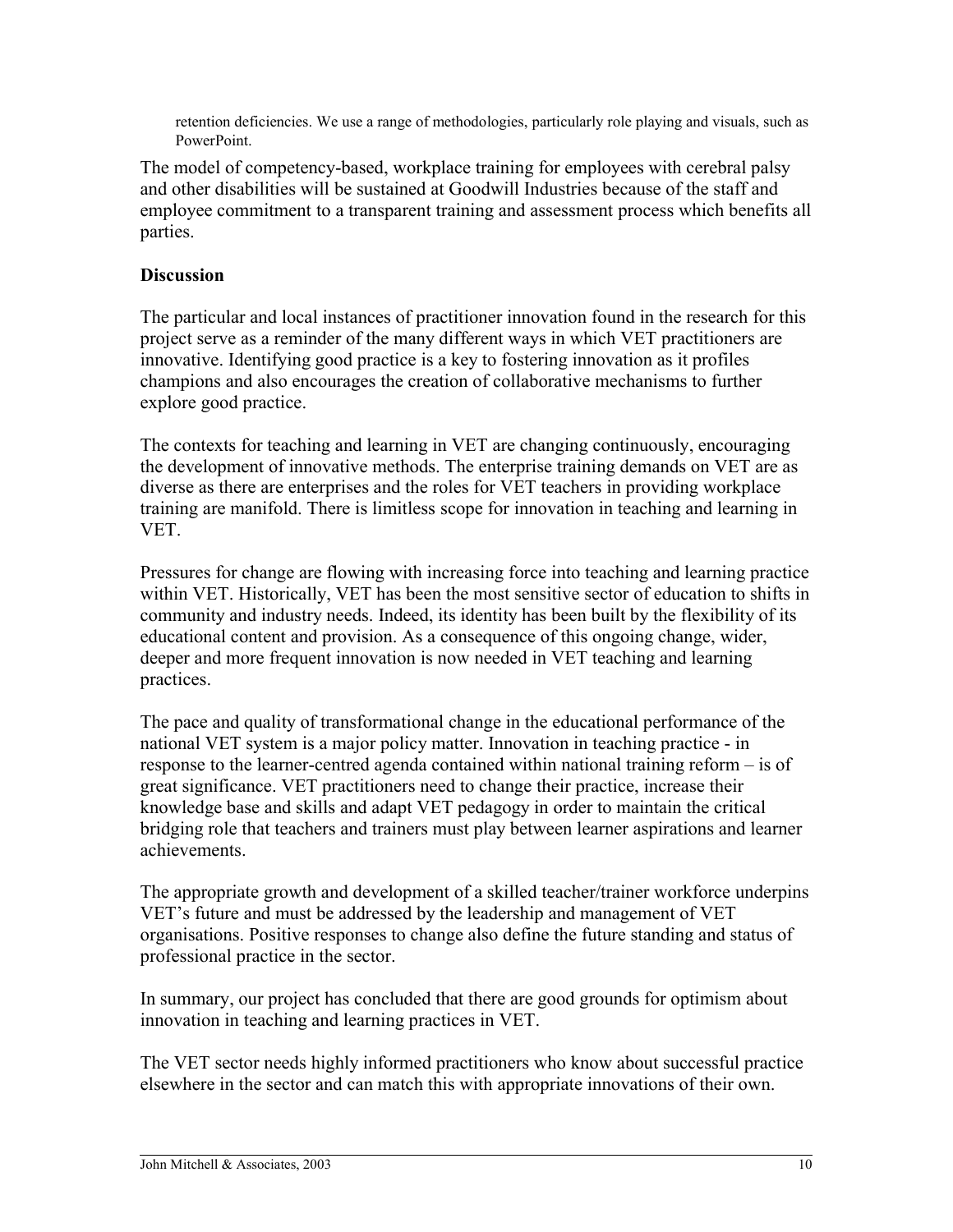retention deficiencies. We use a range of methodologies, particularly role playing and visuals, such as PowerPoint.

The model of competency-based, workplace training for employees with cerebral palsy and other disabilities will be sustained at Goodwill Industries because of the staff and employee commitment to a transparent training and assessment process which benefits all parties.

# **Discussion**

The particular and local instances of practitioner innovation found in the research for this project serve as a reminder of the many different ways in which VET practitioners are innovative. Identifying good practice is a key to fostering innovation as it profiles champions and also encourages the creation of collaborative mechanisms to further explore good practice.

The contexts for teaching and learning in VET are changing continuously, encouraging the development of innovative methods. The enterprise training demands on VET are as diverse as there are enterprises and the roles for VET teachers in providing workplace training are manifold. There is limitless scope for innovation in teaching and learning in VET.

Pressures for change are flowing with increasing force into teaching and learning practice within VET. Historically, VET has been the most sensitive sector of education to shifts in community and industry needs. Indeed, its identity has been built by the flexibility of its educational content and provision. As a consequence of this ongoing change, wider, deeper and more frequent innovation is now needed in VET teaching and learning practices.

The pace and quality of transformational change in the educational performance of the national VET system is a major policy matter. Innovation in teaching practice - in response to the learner-centred agenda contained within national training reform – is of great significance. VET practitioners need to change their practice, increase their knowledge base and skills and adapt VET pedagogy in order to maintain the critical bridging role that teachers and trainers must play between learner aspirations and learner achievements.

The appropriate growth and development of a skilled teacher/trainer workforce underpins VET's future and must be addressed by the leadership and management of VET organisations. Positive responses to change also define the future standing and status of professional practice in the sector.

In summary, our project has concluded that there are good grounds for optimism about innovation in teaching and learning practices in VET.

The VET sector needs highly informed practitioners who know about successful practice elsewhere in the sector and can match this with appropriate innovations of their own.